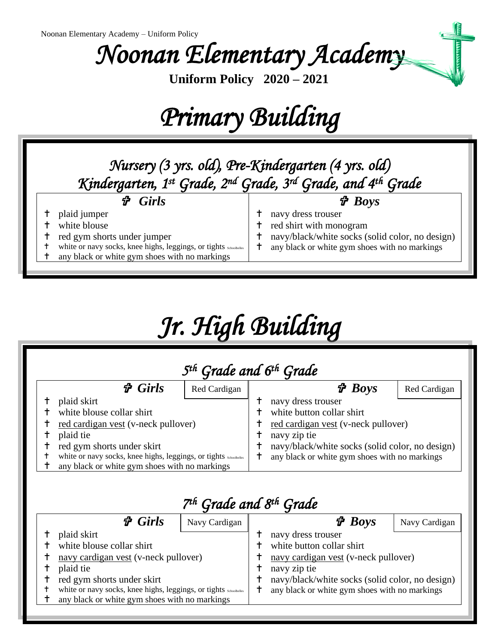*Noonan Elementary Academy* 

**Uniform Policy 2020 – 2021**

# *Primary Building*

### *Nursery (3 yrs. old), Pre-Kindergarten (4 yrs. old) Kindergarten, 1st Grade, 2nd Grade, 3rd Grade, and 4th Grade Girls* plaid jumper white blouse t red gym shorts under jumper white or navy socks, knee highs, leggings, or tights Schoolbelles any black or white gym shoes with no markings  *Boys* navy dress trouser red shirt with monogram navy/black/white socks (solid color, no design) any black or white gym shoes with no markings

# *Jr. High Building*

| $\boldsymbol{\hat{\tau}}$ Girls                                                                                                                                                                                                                  | 5 <sup>th</sup> Grade and 6 <sup>th</sup> Grade<br>Red Cardigan |   | $\boldsymbol{\hat{\tau}}$ Boys                                                                                                                                                                             | Red Cardigan |
|--------------------------------------------------------------------------------------------------------------------------------------------------------------------------------------------------------------------------------------------------|-----------------------------------------------------------------|---|------------------------------------------------------------------------------------------------------------------------------------------------------------------------------------------------------------|--------------|
| plaid skirt<br>white blouse collar shirt<br>red cardigan vest (v-neck pullover)<br>plaid tie<br>red gym shorts under skirt<br>white or navy socks, knee highs, leggings, or tights schoolbelles<br>any black or white gym shoes with no markings |                                                                 | ϯ | navy dress trouser<br>white button collar shirt<br>red cardigan vest (v-neck pullover)<br>navy zip tie<br>navy/black/white socks (solid color, no design)<br>any black or white gym shoes with no markings |              |

| 7 <sup>th</sup> Grade and 8 <sup>th</sup> Grade |                                                                                                                                                                                                                                                   |               |  |                                                                                                                                                                                                             |               |  |  |  |
|-------------------------------------------------|---------------------------------------------------------------------------------------------------------------------------------------------------------------------------------------------------------------------------------------------------|---------------|--|-------------------------------------------------------------------------------------------------------------------------------------------------------------------------------------------------------------|---------------|--|--|--|
|                                                 | $\mathcal{P}$ Girls                                                                                                                                                                                                                               | Navy Cardigan |  | $\boldsymbol{\hat{\tau}}$ Boys                                                                                                                                                                              | Navy Cardigan |  |  |  |
|                                                 | plaid skirt<br>white blouse collar shirt<br>navy cardigan vest (v-neck pullover)<br>plaid tie<br>red gym shorts under skirt<br>white or navy socks, knee highs, leggings, or tights schoolbelles<br>any black or white gym shoes with no markings |               |  | navy dress trouser<br>white button collar shirt<br>navy cardigan vest (v-neck pullover)<br>navy zip tie<br>navy/black/white socks (solid color, no design)<br>any black or white gym shoes with no markings |               |  |  |  |